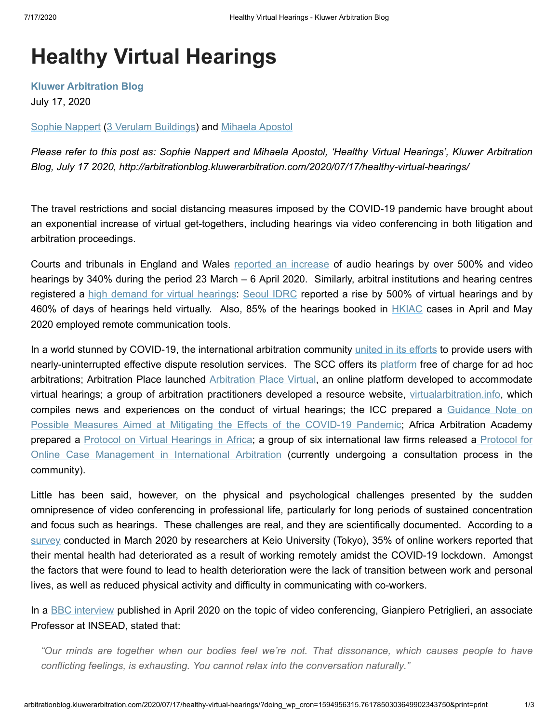# **Healthy Virtual Hearings**

**[Kluwer Arbitration Blog](http://arbitrationblog.kluwerarbitration.com/)**

July 17, 2020

[Sophie Nappert](http://arbitrationblog.kluwerarbitration.com/author/sophie-nappert/) [\(3 Verulam Buildings](https://www.3vb.com/)) and [Mihaela Apostol](http://arbitrationblog.kluwerarbitration.com/author/mihaela-apostol/)

*Please refer to this post as: Sophie Nappert and Mihaela Apostol, 'Healthy Virtual Hearings', Kluwer Arbitration Blog, July 17 2020, http://arbitrationblog.kluwerarbitration.com/2020/07/17/healthy-virtual-hearings/*

The travel restrictions and social distancing measures imposed by the COVID-19 pandemic have brought about an exponential increase of virtual get-togethers, including hearings via video conferencing in both litigation and arbitration proceedings.

Courts and tribunals in England and Wales [reported an increase](https://www.judiciary.uk/wp-content/uploads/2020/05/remote-hearings-rapid-review.pdf) of audio hearings by over 500% and video hearings by 340% during the period 23 March – 6 April 2020. Similarly, arbitral institutions and hearing centres registered a [high demand for virtual hearings:](https://hsfnotes.com/arbitration/2020/07/10/update-8-necessity-is-the-mother-of-invention-covid-19-dramatically-accelerates-digitalisation-of-arbitration-processes/) [Seoul IDRC](http://www.sidrc.org/bbs/board.php?bo_table=news_en&wr_id=863) reported a rise by 500% of virtual hearings and by 460% of days of hearings held virtually. Also, 85% of the hearings booked in **[HKIAC](https://www.hkiac.org/news/virtual-hearings-hkiac-services-and-success-stories)** cases in April and May 2020 employed remote communication tools.

In a world stunned by COVID-19, the international arbitration community united in [its efforts](https://iccwbo.org/content/uploads/sites/3/2020/04/covid19-joint-statement.pdf) to provide users with nearly-uninterrupted effective dispute resolution services. The SCC offers its [platform](https://sccinstitute.com/scc-platform/ad-hoc-platform/) free of charge for ad hoc arbitrations; Arbitration Place launched [Arbitration Place Virtual](https://www.arbitrationplace.com/arbitration-place-virtual-ehearings), an online platform developed to accommodate virtual hearings; a group of arbitration practitioners developed a resource website, [virtualarbitration.info](https://virtualarbitration.info/), which [compiles news and experiences on the conduct of virtual hearings; the ICC prepared a Guidance Note on](https://iccwbo.org/content/uploads/sites/3/2020/04/guidance-note-possible-measures-mitigating-effects-covid-19-english.pdf) Possible Measures Aimed at Mitigating the Effects of the COVID-19 Pandemic; Africa Arbitration Academy prepared a [Protocol on Virtual Hearings in Africa;](https://www.africaarbitrationacademy.org/wp-content/uploads/2020/04/Africa-Arbitration-Academy-Protocol-on-Virtual-Hearings-in-Africa-2020.pdf) a group of six international law firms released a Protocol for [Online Case Management in International Arbitration](https://protocol.techinarbitration.com/p/1) (currently undergoing a consultation process in the community).

Little has been said, however, on the physical and psychological challenges presented by the sudden omnipresence of video conferencing in professional life, particularly for long periods of sustained concentration and focus such as hearings. These challenges are real, and they are scientifically documented. According to a [survey](https://onlinelibrary.wiley.com/doi/abs/10.1002/mhw.32333) conducted in March 2020 by researchers at Keio University (Tokyo), 35% of online workers reported that their mental health had deteriorated as a result of working remotely amidst the COVID-19 lockdown. Amongst the factors that were found to lead to health deterioration were the lack of transition between work and personal lives, as well as reduced physical activity and difficulty in communicating with co-workers.

In a [BBC interview](https://www.bbc.com/worklife/article/20200421-why-zoom-video-chats-are-so-exhausting) published in April 2020 on the topic of video conferencing, Gianpiero Petriglieri, an associate Professor at INSEAD, stated that:

*"Our minds are together when our bodies feel we're not. That dissonance, which causes people to have conflicting feelings, is exhausting. You cannot relax into the conversation naturally."*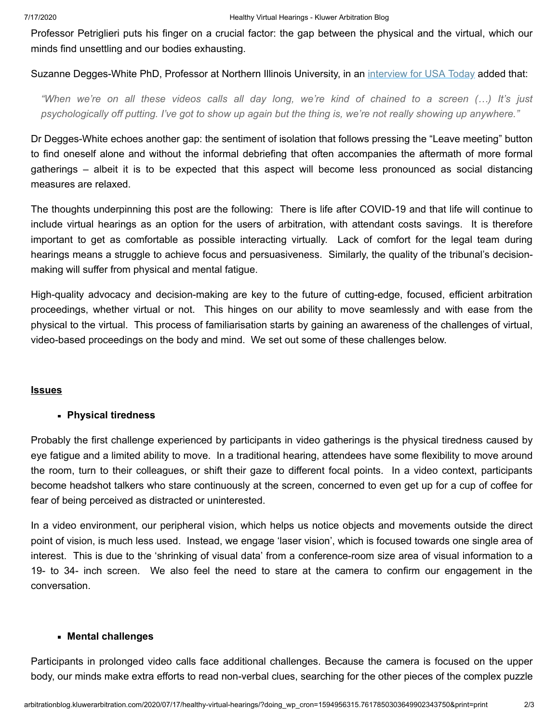Professor Petriglieri puts his finger on a crucial factor: the gap between the physical and the virtual, which our minds find unsettling and our bodies exhausting.

Suzanne Degges-White PhD, Professor at Northern Illinois University, in an [interview for USA Today](https://www.ecowatch.com/video-calls-zoom-fatigue-2645822041.html?rebelltitem=3#rebelltitem3) added that:

*"When we're on all these videos calls all day long, we're kind of chained to a screen (…) It's just psychologically off putting. I've got to show up again but the thing is, we're not really showing up anywhere."*

Dr Degges-White echoes another gap: the sentiment of isolation that follows pressing the "Leave meeting" button to find oneself alone and without the informal debriefing that often accompanies the aftermath of more formal gatherings – albeit it is to be expected that this aspect will become less pronounced as social distancing measures are relaxed.

The thoughts underpinning this post are the following: There is life after COVID-19 and that life will continue to include virtual hearings as an option for the users of arbitration, with attendant costs savings. It is therefore important to get as comfortable as possible interacting virtually. Lack of comfort for the legal team during hearings means a struggle to achieve focus and persuasiveness. Similarly, the quality of the tribunal's decisionmaking will suffer from physical and mental fatigue.

High-quality advocacy and decision-making are key to the future of cutting-edge, focused, efficient arbitration proceedings, whether virtual or not. This hinges on our ability to move seamlessly and with ease from the physical to the virtual. This process of familiarisation starts by gaining an awareness of the challenges of virtual, video-based proceedings on the body and mind. We set out some of these challenges below.

# **Issues**

# **Physical tiredness**

Probably the first challenge experienced by participants in video gatherings is the physical tiredness caused by eye fatigue and a limited ability to move. In a traditional hearing, attendees have some flexibility to move around the room, turn to their colleagues, or shift their gaze to different focal points. In a video context, participants become headshot talkers who stare continuously at the screen, concerned to even get up for a cup of coffee for fear of being perceived as distracted or uninterested.

In a video environment, our peripheral vision, which helps us notice objects and movements outside the direct point of vision, is much less used. Instead, we engage 'laser vision', which is focused towards one single area of interest. This is due to the 'shrinking of visual data' from a conference-room size area of visual information to a 19- to 34- inch screen. We also feel the need to stare at the camera to confirm our engagement in the conversation.

### **Mental challenges**

Participants in prolonged video calls face additional challenges. Because the camera is focused on the upper body, our minds make extra efforts to read non-verbal clues, searching for the other pieces of the complex puzzle